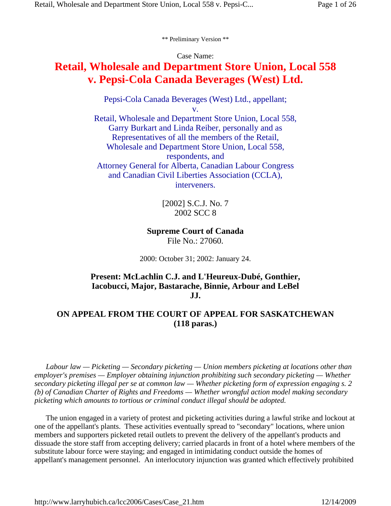\*\* Preliminary Version \*\*

Case Name:

# **Retail, Wholesale and Department Store Union, Local 558 v. Pepsi-Cola Canada Beverages (West) Ltd.**

Pepsi-Cola Canada Beverages (West) Ltd., appellant;

v.

Retail, Wholesale and Department Store Union, Local 558, Garry Burkart and Linda Reiber, personally and as Representatives of all the members of the Retail, Wholesale and Department Store Union, Local 558, respondents, and Attorney General for Alberta, Canadian Labour Congress and Canadian Civil Liberties Association (CCLA), interveners.

> [2002] S.C.J. No. 7 2002 SCC 8

### **Supreme Court of Canada** File No.: 27060.

2000: October 31; 2002: January 24.

# **Present: McLachlin C.J. and L'Heureux-Dubé, Gonthier, Iacobucci, Major, Bastarache, Binnie, Arbour and LeBel JJ.**

# **ON APPEAL FROM THE COURT OF APPEAL FOR SASKATCHEWAN (118 paras.)**

 *Labour law — Picketing — Secondary picketing — Union members picketing at locations other than employer's premises — Employer obtaining injunction prohibiting such secondary picketing — Whether secondary picketing illegal per se at common law — Whether picketing form of expression engaging s. 2 (b) of Canadian Charter of Rights and Freedoms — Whether wrongful action model making secondary picketing which amounts to tortious or criminal conduct illegal should be adopted.*

 The union engaged in a variety of protest and picketing activities during a lawful strike and lockout at one of the appellant's plants. These activities eventually spread to "secondary" locations, where union members and supporters picketed retail outlets to prevent the delivery of the appellant's products and dissuade the store staff from accepting delivery; carried placards in front of a hotel where members of the substitute labour force were staying; and engaged in intimidating conduct outside the homes of appellant's management personnel. An interlocutory injunction was granted which effectively prohibited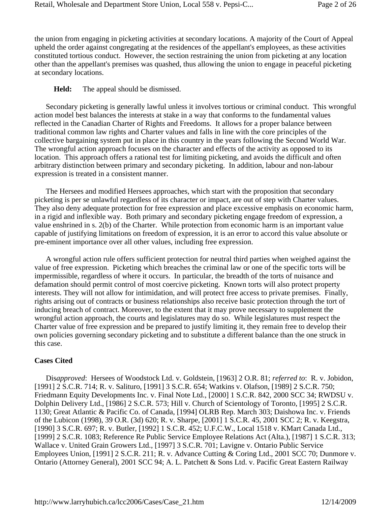the union from engaging in picketing activities at secondary locations. A majority of the Court of Appeal upheld the order against congregating at the residences of the appellant's employees, as these activities constituted tortious conduct. However, the section restraining the union from picketing at any location other than the appellant's premises was quashed, thus allowing the union to engage in peaceful picketing at secondary locations.

#### **Held:** The appeal should be dismissed.

 Secondary picketing is generally lawful unless it involves tortious or criminal conduct. This wrongful action model best balances the interests at stake in a way that conforms to the fundamental values reflected in the Canadian Charter of Rights and Freedoms. It allows for a proper balance between traditional common law rights and Charter values and falls in line with the core principles of the collective bargaining system put in place in this country in the years following the Second World War. The wrongful action approach focuses on the character and effects of the activity as opposed to its location. This approach offers a rational test for limiting picketing, and avoids the difficult and often arbitrary distinction between primary and secondary picketing. In addition, labour and non-labour expression is treated in a consistent manner.

 The Hersees and modified Hersees approaches, which start with the proposition that secondary picketing is per se unlawful regardless of its character or impact, are out of step with Charter values. They also deny adequate protection for free expression and place excessive emphasis on economic harm, in a rigid and inflexible way. Both primary and secondary picketing engage freedom of expression, a value enshrined in s. 2(b) of the Charter. While protection from economic harm is an important value capable of justifying limitations on freedom of expression, it is an error to accord this value absolute or pre-eminent importance over all other values, including free expression.

 A wrongful action rule offers sufficient protection for neutral third parties when weighed against the value of free expression. Picketing which breaches the criminal law or one of the specific torts will be impermissible, regardless of where it occurs. In particular, the breadth of the torts of nuisance and defamation should permit control of most coercive picketing. Known torts will also protect property interests. They will not allow for intimidation, and will protect free access to private premises. Finally, rights arising out of contracts or business relationships also receive basic protection through the tort of inducing breach of contract. Moreover, to the extent that it may prove necessary to supplement the wrongful action approach, the courts and legislatures may do so. While legislatures must respect the Charter value of free expression and be prepared to justify limiting it, they remain free to develop their own policies governing secondary picketing and to substitute a different balance than the one struck in this case.

#### **Cases Cited**

 Dis*approved*: Hersees of Woodstock Ltd. v. Goldstein, [1963] 2 O.R. 81; *referred to*: R. v. Jobidon, [1991] 2 S.C.R. 714; R. v. Salituro, [1991] 3 S.C.R. 654; Watkins v. Olafson, [1989] 2 S.C.R. 750; Friedmann Equity Developments Inc. v. Final Note Ltd., [2000] 1 S.C.R. 842, 2000 SCC 34; RWDSU v. Dolphin Delivery Ltd., [1986] 2 S.C.R. 573; Hill v. Church of Scientology of Toronto, [1995] 2 S.C.R. 1130; Great Atlantic & Pacific Co. of Canada, [1994] OLRB Rep. March 303; Daishowa Inc. v. Friends of the Lubicon (1998), 39 O.R. (3d) 620; R. v. Sharpe, [2001] 1 S.C.R. 45, 2001 SCC 2; R. v. Keegstra, [1990] 3 S.C.R. 697; R. v. Butler, [1992] 1 S.C.R. 452; U.F.C.W., Local 1518 v. KMart Canada Ltd., [1999] 2 S.C.R. 1083; Reference Re Public Service Employee Relations Act (Alta.), [1987] 1 S.C.R. 313; Wallace v. United Grain Growers Ltd., [1997] 3 S.C.R. 701; Lavigne v. Ontario Public Service Employees Union, [1991] 2 S.C.R. 211; R. v. Advance Cutting & Coring Ltd., 2001 SCC 70; Dunmore v. Ontario (Attorney General), 2001 SCC 94; A. L. Patchett & Sons Ltd. v. Pacific Great Eastern Railway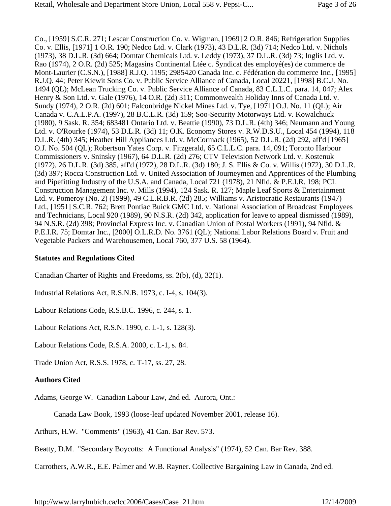Co., [1959] S.C.R. 271; Lescar Construction Co. v. Wigman, [1969] 2 O.R. 846; Refrigeration Supplies Co. v. Ellis, [1971] 1 O.R. 190; Nedco Ltd. v. Clark (1973), 43 D.L.R. (3d) 714; Nedco Ltd. v. Nichols (1973), 38 D.L.R. (3d) 664; Domtar Chemicals Ltd. v. Leddy (1973), 37 D.L.R. (3d) 73; Inglis Ltd. v. Rao (1974), 2 O.R. (2d) 525; Magasins Continental Ltée c. Syndicat des employé(es) de commerce de Mont-Laurier (C.S.N.), [1988] R.J.Q. 1195; 2985420 Canada Inc. c. Fédération du commerce Inc., [1995] R.J.Q. 44; Peter Kiewit Sons Co. v. Public Service Alliance of Canada, Local 20221, [1998] B.C.J. No. 1494 (QL); McLean Trucking Co. v. Public Service Alliance of Canada, 83 C.L.L.C. para. 14, 047; Alex Henry & Son Ltd. v. Gale (1976), 14 O.R. (2d) 311; Commonwealth Holiday Inns of Canada Ltd. v. Sundy (1974), 2 O.R. (2d) 601; Falconbridge Nickel Mines Ltd. v. Tye, [1971] O.J. No. 11 (QL); Air Canada v. C.A.L.P.A. (1997), 28 B.C.L.R. (3d) 159; Soo-Security Motorways Ltd. v. Kowalchuck (1980), 9 Sask. R. 354; 683481 Ontario Ltd. v. Beattie (1990), 73 D.L.R. (4th) 346; Neumann and Young Ltd. v. O'Rourke (1974), 53 D.L.R. (3d) 11; O.K. Economy Stores v. R.W.D.S.U., Local 454 (1994), 118 D.L.R. (4th) 345; Heather Hill Appliances Ltd. v. McCormack (1965), 52 D.L.R. (2d) 292, aff'd [1965] O.J. No. 504 (QL); Robertson Yates Corp. v. Fitzgerald, 65 C.L.L.C. para. 14, 091; Toronto Harbour Commissioners v. Sninsky (1967), 64 D.L.R. (2d) 276; CTV Television Network Ltd. v. Kostenuk (1972), 26 D.L.R. (3d) 385, aff'd (1972), 28 D.L.R. (3d) 180; J. S. Ellis & Co. v. Willis (1972), 30 D.L.R. (3d) 397; Rocca Construction Ltd. v. United Association of Journeymen and Apprentices of the Plumbing and Pipefitting Industry of the U.S.A. and Canada, Local 721 (1978), 21 Nfld. & P.E.I.R. 198; PCL Construction Management Inc. v. Mills (1994), 124 Sask. R. 127; Maple Leaf Sports & Entertainment Ltd. v. Pomeroy (No. 2) (1999), 49 C.L.R.B.R. (2d) 285; Williams v. Aristocratic Restaurants (1947) Ltd., [1951] S.C.R. 762; Brett Pontiac Buick GMC Ltd. v. National Association of Broadcast Employees and Technicians, Local 920 (1989), 90 N.S.R. (2d) 342, application for leave to appeal dismissed (1989), 94 N.S.R. (2d) 398; Provincial Express Inc. v. Canadian Union of Postal Workers (1991), 94 Nfld. & P.E.I.R. 75; Domtar Inc., [2000] O.L.R.D. No. 3761 (QL); National Labor Relations Board v. Fruit and Vegetable Packers and Warehousemen, Local 760, 377 U.S. 58 (1964).

#### **Statutes and Regulations Cited**

Canadian Charter of Rights and Freedoms, ss. 2(b), (d), 32(1).

Industrial Relations Act, R.S.N.B. 1973, c. I-4, s. 104(3).

Labour Relations Code, R.S.B.C. 1996, c. 244, s. 1.

Labour Relations Act, R.S.N. 1990, c. L-1, s. 128(3).

Labour Relations Code, R.S.A. 2000, c. L-1, s. 84.

Trade Union Act, R.S.S. 1978, c. T-17, ss. 27, 28.

#### **Authors Cited**

Adams, George W. Canadian Labour Law, 2nd ed. Aurora, Ont.:

Canada Law Book, 1993 (loose-leaf updated November 2001, release 16).

Arthurs, H.W. "Comments" (1963), 41 Can. Bar Rev. 573.

Beatty, D.M. "Secondary Boycotts: A Functional Analysis" (1974), 52 Can. Bar Rev. 388.

Carrothers, A.W.R., E.E. Palmer and W.B. Rayner. Collective Bargaining Law in Canada, 2nd ed.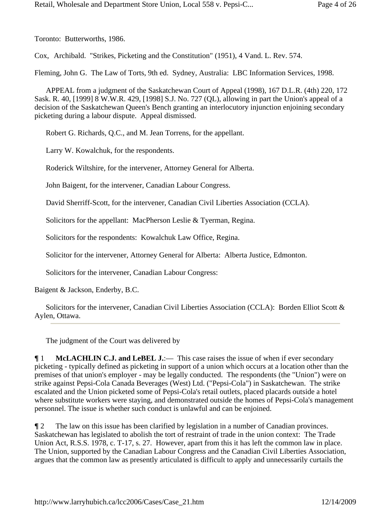Toronto: Butterworths, 1986.

Cox, Archibald. "Strikes, Picketing and the Constitution" (1951), 4 Vand. L. Rev. 574.

Fleming, John G. The Law of Torts, 9th ed. Sydney, Australia: LBC Information Services, 1998.

 APPEAL from a judgment of the Saskatchewan Court of Appeal (1998), 167 D.L.R. (4th) 220, 172 Sask. R. 40, [1999] 8 W.W.R. 429, [1998] S.J. No. 727 (QL), allowing in part the Union's appeal of a decision of the Saskatchewan Queen's Bench granting an interlocutory injunction enjoining secondary picketing during a labour dispute. Appeal dismissed.

Robert G. Richards, Q.C., and M. Jean Torrens, for the appellant.

Larry W. Kowalchuk, for the respondents.

Roderick Wiltshire, for the intervener, Attorney General for Alberta.

John Baigent, for the intervener, Canadian Labour Congress.

David Sherriff-Scott, for the intervener, Canadian Civil Liberties Association (CCLA).

Solicitors for the appellant: MacPherson Leslie & Tyerman, Regina.

Solicitors for the respondents: Kowalchuk Law Office, Regina.

Solicitor for the intervener, Attorney General for Alberta: Alberta Justice, Edmonton.

Solicitors for the intervener, Canadian Labour Congress:

Baigent & Jackson, Enderby, B.C.

 Solicitors for the intervener, Canadian Civil Liberties Association (CCLA): Borden Elliot Scott & Aylen, Ottawa.

The judgment of the Court was delivered by

 $\P$  1 **McLACHLIN C.J. and LeBEL J.:** This case raises the issue of when if ever secondary picketing - typically defined as picketing in support of a union which occurs at a location other than the premises of that union's employer - may be legally conducted. The respondents (the "Union") were on strike against Pepsi-Cola Canada Beverages (West) Ltd. ("Pepsi-Cola") in Saskatchewan. The strike escalated and the Union picketed some of Pepsi-Cola's retail outlets, placed placards outside a hotel where substitute workers were staying, and demonstrated outside the homes of Pepsi-Cola's management personnel. The issue is whether such conduct is unlawful and can be enjoined.

 $\P$  2 The law on this issue has been clarified by legislation in a number of Canadian provinces. Saskatchewan has legislated to abolish the tort of restraint of trade in the union context: The Trade Union Act, R.S.S. 1978, c. T-17, s. 27. However, apart from this it has left the common law in place. The Union, supported by the Canadian Labour Congress and the Canadian Civil Liberties Association, argues that the common law as presently articulated is difficult to apply and unnecessarily curtails the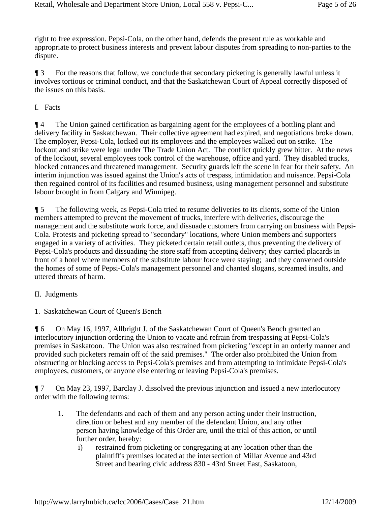right to free expression. Pepsi-Cola, on the other hand, defends the present rule as workable and appropriate to protect business interests and prevent labour disputes from spreading to non-parties to the dispute.

**¶** 3 For the reasons that follow, we conclude that secondary picketing is generally lawful unless it involves tortious or criminal conduct, and that the Saskatchewan Court of Appeal correctly disposed of the issues on this basis.

### I. Facts

**¶** 4 The Union gained certification as bargaining agent for the employees of a bottling plant and delivery facility in Saskatchewan. Their collective agreement had expired, and negotiations broke down. The employer, Pepsi-Cola, locked out its employees and the employees walked out on strike. The lockout and strike were legal under The Trade Union Act. The conflict quickly grew bitter. At the news of the lockout, several employees took control of the warehouse, office and yard. They disabled trucks, blocked entrances and threatened management. Security guards left the scene in fear for their safety. An interim injunction was issued against the Union's acts of trespass, intimidation and nuisance. Pepsi-Cola then regained control of its facilities and resumed business, using management personnel and substitute labour brought in from Calgary and Winnipeg.

**¶** 5 The following week, as Pepsi-Cola tried to resume deliveries to its clients, some of the Union members attempted to prevent the movement of trucks, interfere with deliveries, discourage the management and the substitute work force, and dissuade customers from carrying on business with Pepsi-Cola. Protests and picketing spread to "secondary" locations, where Union members and supporters engaged in a variety of activities. They picketed certain retail outlets, thus preventing the delivery of Pepsi-Cola's products and dissuading the store staff from accepting delivery; they carried placards in front of a hotel where members of the substitute labour force were staying; and they convened outside the homes of some of Pepsi-Cola's management personnel and chanted slogans, screamed insults, and uttered threats of harm.

### II. Judgments

1. Saskatchewan Court of Queen's Bench

**¶** 6 On May 16, 1997, Allbright J. of the Saskatchewan Court of Queen's Bench granted an interlocutory injunction ordering the Union to vacate and refrain from trespassing at Pepsi-Cola's premises in Saskatoon. The Union was also restrained from picketing "except in an orderly manner and provided such picketers remain off of the said premises." The order also prohibited the Union from obstructing or blocking access to Pepsi-Cola's premises and from attempting to intimidate Pepsi-Cola's employees, customers, or anyone else entering or leaving Pepsi-Cola's premises.

**¶** 7 On May 23, 1997, Barclay J. dissolved the previous injunction and issued a new interlocutory order with the following terms:

- 1. The defendants and each of them and any person acting under their instruction, direction or behest and any member of the defendant Union, and any other person having knowledge of this Order are, until the trial of this action, or until further order, hereby:
	- i) restrained from picketing or congregating at any location other than the plaintiff's premises located at the intersection of Millar Avenue and 43rd Street and bearing civic address 830 - 43rd Street East, Saskatoon,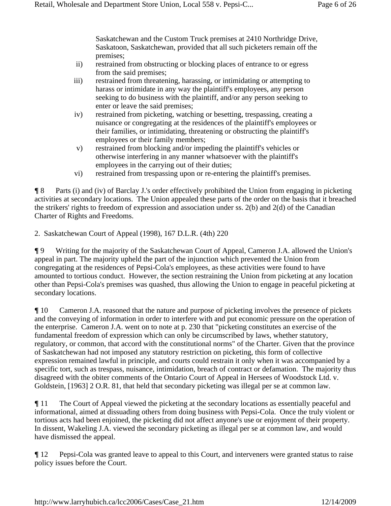Saskatchewan and the Custom Truck premises at 2410 Northridge Drive, Saskatoon, Saskatchewan, provided that all such picketers remain off the premises;

- ii) restrained from obstructing or blocking places of entrance to or egress from the said premises;
- iii) restrained from threatening, harassing, or intimidating or attempting to harass or intimidate in any way the plaintiff's employees, any person seeking to do business with the plaintiff, and/or any person seeking to enter or leave the said premises;
- iv) restrained from picketing, watching or besetting, trespassing, creating a nuisance or congregating at the residences of the plaintiff's employees or their families, or intimidating, threatening or obstructing the plaintiff's employees or their family members;
- v) restrained from blocking and/or impeding the plaintiff's vehicles or otherwise interfering in any manner whatsoever with the plaintiff's employees in the carrying out of their duties;
- vi) restrained from trespassing upon or re-entering the plaintiff's premises.

**¶** 8 Parts (i) and (iv) of Barclay J.'s order effectively prohibited the Union from engaging in picketing activities at secondary locations. The Union appealed these parts of the order on the basis that it breached the strikers' rights to freedom of expression and association under ss. 2(b) and 2(d) of the Canadian Charter of Rights and Freedoms.

2. Saskatchewan Court of Appeal (1998), 167 D.L.R. (4th) 220

**¶** 9 Writing for the majority of the Saskatchewan Court of Appeal, Cameron J.A. allowed the Union's appeal in part. The majority upheld the part of the injunction which prevented the Union from congregating at the residences of Pepsi-Cola's employees, as these activities were found to have amounted to tortious conduct. However, the section restraining the Union from picketing at any location other than Pepsi-Cola's premises was quashed, thus allowing the Union to engage in peaceful picketing at secondary locations.

**¶** 10 Cameron J.A. reasoned that the nature and purpose of picketing involves the presence of pickets and the conveying of information in order to interfere with and put economic pressure on the operation of the enterprise. Cameron J.A. went on to note at p. 230 that "picketing constitutes an exercise of the fundamental freedom of expression which can only be circumscribed by laws, whether statutory, regulatory, or common, that accord with the constitutional norms" of the Charter. Given that the province of Saskatchewan had not imposed any statutory restriction on picketing, this form of collective expression remained lawful in principle, and courts could restrain it only when it was accompanied by a specific tort, such as trespass, nuisance, intimidation, breach of contract or defamation. The majority thus disagreed with the obiter comments of the Ontario Court of Appeal in Hersees of Woodstock Ltd. v. Goldstein, [1963] 2 O.R. 81, that held that secondary picketing was illegal per se at common law.

**¶** 11 The Court of Appeal viewed the picketing at the secondary locations as essentially peaceful and informational, aimed at dissuading others from doing business with Pepsi-Cola. Once the truly violent or tortious acts had been enjoined, the picketing did not affect anyone's use or enjoyment of their property. In dissent, Wakeling J.A. viewed the secondary picketing as illegal per se at common law, and would have dismissed the appeal.

**¶** 12 Pepsi-Cola was granted leave to appeal to this Court, and interveners were granted status to raise policy issues before the Court.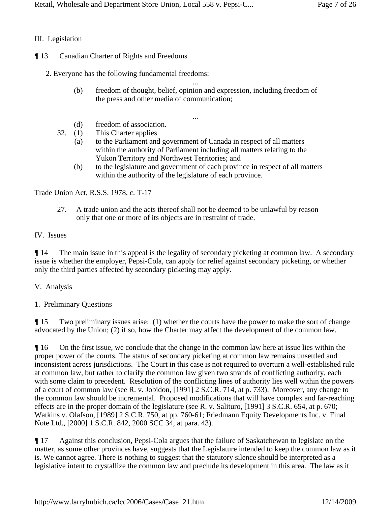# III. Legislation

- **¶** 13 Canadian Charter of Rights and Freedoms
	- 2. Everyone has the following fundamental freedoms:
		- ... (b) freedom of thought, belief, opinion and expression, including freedom of the press and other media of communication;
			- ...
		- (d) freedom of association.
		- 32. (1) This Charter applies
			- (a) to the Parliament and government of Canada in respect of all matters within the authority of Parliament including all matters relating to the Yukon Territory and Northwest Territories; and
			- (b) to the legislature and government of each province in respect of all matters within the authority of the legislature of each province.

Trade Union Act, R.S.S. 1978, c. T-17

27. A trade union and the acts thereof shall not be deemed to be unlawful by reason only that one or more of its objects are in restraint of trade.

## IV. Issues

**¶** 14 The main issue in this appeal is the legality of secondary picketing at common law. A secondary issue is whether the employer, Pepsi-Cola, can apply for relief against secondary picketing, or whether only the third parties affected by secondary picketing may apply.

- V. Analysis
- 1. Preliminary Questions

**¶** 15 Two preliminary issues arise: (1) whether the courts have the power to make the sort of change advocated by the Union; (2) if so, how the Charter may affect the development of the common law.

**¶** 16 On the first issue, we conclude that the change in the common law here at issue lies within the proper power of the courts. The status of secondary picketing at common law remains unsettled and inconsistent across jurisdictions. The Court in this case is not required to overturn a well-established rule at common law, but rather to clarify the common law given two strands of conflicting authority, each with some claim to precedent. Resolution of the conflicting lines of authority lies well within the powers of a court of common law (see R. v. Jobidon, [1991] 2 S.C.R. 714, at p. 733). Moreover, any change to the common law should be incremental. Proposed modifications that will have complex and far-reaching effects are in the proper domain of the legislature (see R. v. Salituro, [1991] 3 S.C.R. 654, at p. 670; Watkins v. Olafson, [1989] 2 S.C.R. 750, at pp. 760-61; Friedmann Equity Developments Inc. v. Final Note Ltd., [2000] 1 S.C.R. 842, 2000 SCC 34, at para. 43).

**¶** 17 Against this conclusion, Pepsi-Cola argues that the failure of Saskatchewan to legislate on the matter, as some other provinces have, suggests that the Legislature intended to keep the common law as it is. We cannot agree. There is nothing to suggest that the statutory silence should be interpreted as a legislative intent to crystallize the common law and preclude its development in this area. The law as it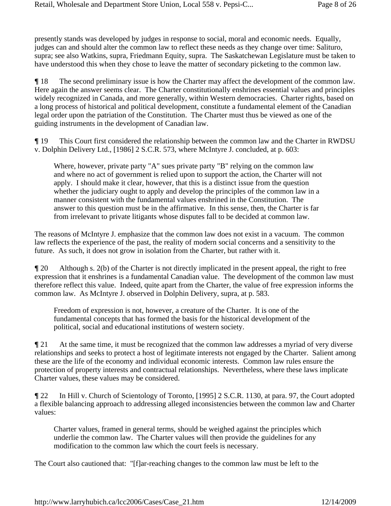presently stands was developed by judges in response to social, moral and economic needs. Equally, judges can and should alter the common law to reflect these needs as they change over time: Salituro, supra; see also Watkins, supra, Friedmann Equity, supra. The Saskatchewan Legislature must be taken to have understood this when they chose to leave the matter of secondary picketing to the common law.

**¶** 18 The second preliminary issue is how the Charter may affect the development of the common law. Here again the answer seems clear. The Charter constitutionally enshrines essential values and principles widely recognized in Canada, and more generally, within Western democracies. Charter rights, based on a long process of historical and political development, constitute a fundamental element of the Canadian legal order upon the patriation of the Constitution. The Charter must thus be viewed as one of the guiding instruments in the development of Canadian law.

**¶** 19 This Court first considered the relationship between the common law and the Charter in RWDSU v. Dolphin Delivery Ltd., [1986] 2 S.C.R. 573, where McIntyre J. concluded, at p. 603:

Where, however, private party "A" sues private party "B" relying on the common law and where no act of government is relied upon to support the action, the Charter will not apply. I should make it clear, however, that this is a distinct issue from the question whether the judiciary ought to apply and develop the principles of the common law in a manner consistent with the fundamental values enshrined in the Constitution. The answer to this question must be in the affirmative. In this sense, then, the Charter is far from irrelevant to private litigants whose disputes fall to be decided at common law.

The reasons of McIntyre J. emphasize that the common law does not exist in a vacuum. The common law reflects the experience of the past, the reality of modern social concerns and a sensitivity to the future. As such, it does not grow in isolation from the Charter, but rather with it.

**¶** 20 Although s. 2(b) of the Charter is not directly implicated in the present appeal, the right to free expression that it enshrines is a fundamental Canadian value. The development of the common law must therefore reflect this value. Indeed, quite apart from the Charter, the value of free expression informs the common law. As McIntyre J. observed in Dolphin Delivery, supra, at p. 583.

Freedom of expression is not, however, a creature of the Charter. It is one of the fundamental concepts that has formed the basis for the historical development of the political, social and educational institutions of western society.

**¶** 21 At the same time, it must be recognized that the common law addresses a myriad of very diverse relationships and seeks to protect a host of legitimate interests not engaged by the Charter. Salient among these are the life of the economy and individual economic interests. Common law rules ensure the protection of property interests and contractual relationships. Nevertheless, where these laws implicate Charter values, these values may be considered.

**¶** 22 In Hill v. Church of Scientology of Toronto, [1995] 2 S.C.R. 1130, at para. 97, the Court adopted a flexible balancing approach to addressing alleged inconsistencies between the common law and Charter values:

Charter values, framed in general terms, should be weighed against the principles which underlie the common law. The Charter values will then provide the guidelines for any modification to the common law which the court feels is necessary.

The Court also cautioned that: "[f]ar-reaching changes to the common law must be left to the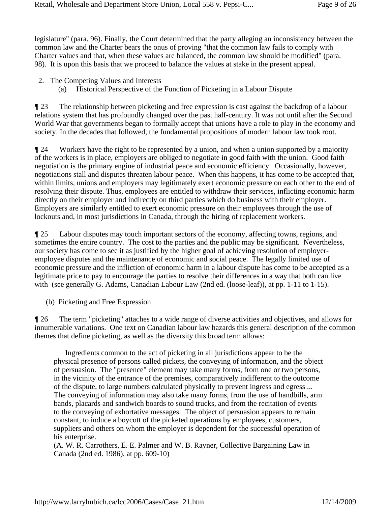legislature" (para. 96). Finally, the Court determined that the party alleging an inconsistency between the common law and the Charter bears the onus of proving "that the common law fails to comply with Charter values and that, when these values are balanced, the common law should be modified" (para. 98). It is upon this basis that we proceed to balance the values at stake in the present appeal.

- 2. The Competing Values and Interests
	- (a) Historical Perspective of the Function of Picketing in a Labour Dispute

**¶** 23 The relationship between picketing and free expression is cast against the backdrop of a labour relations system that has profoundly changed over the past half-century. It was not until after the Second World War that governments began to formally accept that unions have a role to play in the economy and society. In the decades that followed, the fundamental propositions of modern labour law took root.

**¶** 24 Workers have the right to be represented by a union, and when a union supported by a majority of the workers is in place, employers are obliged to negotiate in good faith with the union. Good faith negotiation is the primary engine of industrial peace and economic efficiency. Occasionally, however, negotiations stall and disputes threaten labour peace. When this happens, it has come to be accepted that, within limits, unions and employers may legitimately exert economic pressure on each other to the end of resolving their dispute. Thus, employees are entitled to withdraw their services, inflicting economic harm directly on their employer and indirectly on third parties which do business with their employer. Employers are similarly entitled to exert economic pressure on their employees through the use of lockouts and, in most jurisdictions in Canada, through the hiring of replacement workers.

**¶** 25 Labour disputes may touch important sectors of the economy, affecting towns, regions, and sometimes the entire country. The cost to the parties and the public may be significant. Nevertheless, our society has come to see it as justified by the higher goal of achieving resolution of employeremployee disputes and the maintenance of economic and social peace. The legally limited use of economic pressure and the infliction of economic harm in a labour dispute has come to be accepted as a legitimate price to pay to encourage the parties to resolve their differences in a way that both can live with (see generally G. Adams, Canadian Labour Law (2nd ed. (loose-leaf)), at pp. 1-11 to 1-15).

(b) Picketing and Free Expression

**¶** 26 The term "picketing" attaches to a wide range of diverse activities and objectives, and allows for innumerable variations. One text on Canadian labour law hazards this general description of the common themes that define picketing, as well as the diversity this broad term allows:

 Ingredients common to the act of picketing in all jurisdictions appear to be the physical presence of persons called pickets, the conveying of information, and the object of persuasion. The "presence" element may take many forms, from one or two persons, in the vicinity of the entrance of the premises, comparatively indifferent to the outcome of the dispute, to large numbers calculated physically to prevent ingress and egress ... The conveying of information may also take many forms, from the use of handbills, arm bands, placards and sandwich boards to sound trucks, and from the recitation of events to the conveying of exhortative messages. The object of persuasion appears to remain constant, to induce a boycott of the picketed operations by employees, customers, suppliers and others on whom the employer is dependent for the successful operation of his enterprise.

(A. W. R. Carrothers, E. E. Palmer and W. B. Rayner, Collective Bargaining Law in Canada (2nd ed. 1986), at pp. 609-10)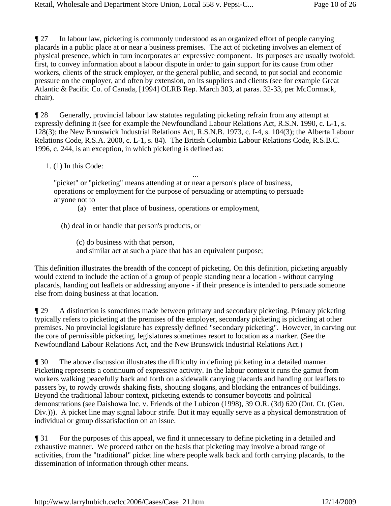**¶** 27 In labour law, picketing is commonly understood as an organized effort of people carrying placards in a public place at or near a business premises. The act of picketing involves an element of physical presence, which in turn incorporates an expressive component. Its purposes are usually twofold: first, to convey information about a labour dispute in order to gain support for its cause from other workers, clients of the struck employer, or the general public, and second, to put social and economic pressure on the employer, and often by extension, on its suppliers and clients (see for example Great Atlantic & Pacific Co. of Canada, [1994] OLRB Rep. March 303, at paras. 32-33, per McCormack, chair).

**¶** 28 Generally, provincial labour law statutes regulating picketing refrain from any attempt at expressly defining it (see for example the Newfoundland Labour Relations Act, R.S.N. 1990, c. L-1, s. 128(3); the New Brunswick Industrial Relations Act, R.S.N.B. 1973, c. I-4, s. 104(3); the Alberta Labour Relations Code, R.S.A. 2000, c. L-1, s. 84). The British Columbia Labour Relations Code, R.S.B.C. 1996, c. 244, is an exception, in which picketing is defined as:

1. (1) In this Code:

... "picket" or "picketing" means attending at or near a person's place of business, operations or employment for the purpose of persuading or attempting to persuade anyone not to

(a) enter that place of business, operations or employment,

(b) deal in or handle that person's products, or

(c) do business with that person, and similar act at such a place that has an equivalent purpose;

This definition illustrates the breadth of the concept of picketing. On this definition, picketing arguably would extend to include the action of a group of people standing near a location - without carrying placards, handing out leaflets or addressing anyone - if their presence is intended to persuade someone else from doing business at that location.

**¶** 29 A distinction is sometimes made between primary and secondary picketing. Primary picketing typically refers to picketing at the premises of the employer, secondary picketing is picketing at other premises. No provincial legislature has expressly defined "secondary picketing". However, in carving out the core of permissible picketing, legislatures sometimes resort to location as a marker. (See the Newfoundland Labour Relations Act, and the New Brunswick Industrial Relations Act.)

**¶** 30 The above discussion illustrates the difficulty in defining picketing in a detailed manner. Picketing represents a continuum of expressive activity. In the labour context it runs the gamut from workers walking peacefully back and forth on a sidewalk carrying placards and handing out leaflets to passers by, to rowdy crowds shaking fists, shouting slogans, and blocking the entrances of buildings. Beyond the traditional labour context, picketing extends to consumer boycotts and political demonstrations (see Daishowa Inc. v. Friends of the Lubicon (1998), 39 O.R. (3d) 620 (Ont. Ct. (Gen. Div.))). A picket line may signal labour strife. But it may equally serve as a physical demonstration of individual or group dissatisfaction on an issue.

**¶** 31 For the purposes of this appeal, we find it unnecessary to define picketing in a detailed and exhaustive manner. We proceed rather on the basis that picketing may involve a broad range of activities, from the "traditional" picket line where people walk back and forth carrying placards, to the dissemination of information through other means.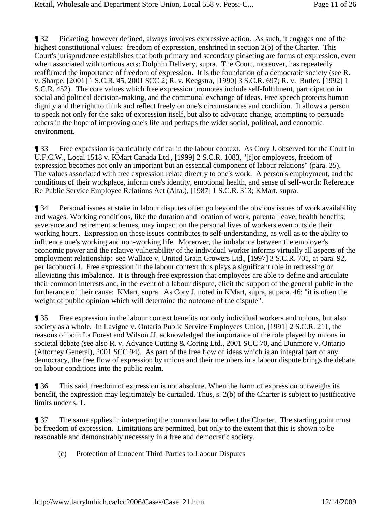**¶** 32 Picketing, however defined, always involves expressive action. As such, it engages one of the highest constitutional values: freedom of expression, enshrined in section 2(b) of the Charter. This Court's jurisprudence establishes that both primary and secondary picketing are forms of expression, even when associated with tortious acts: Dolphin Delivery, supra. The Court, moreover, has repeatedly reaffirmed the importance of freedom of expression. It is the foundation of a democratic society (see R. v. Sharpe, [2001] 1 S.C.R. 45, 2001 SCC 2; R. v. Keegstra, [1990] 3 S.C.R. 697; R. v. Butler, [1992] 1 S.C.R. 452). The core values which free expression promotes include self-fulfilment, participation in social and political decision-making, and the communal exchange of ideas. Free speech protects human dignity and the right to think and reflect freely on one's circumstances and condition. It allows a person to speak not only for the sake of expression itself, but also to advocate change, attempting to persuade others in the hope of improving one's life and perhaps the wider social, political, and economic environment.

**¶** 33 Free expression is particularly critical in the labour context. As Cory J. observed for the Court in U.F.C.W., Local 1518 v. KMart Canada Ltd., [1999] 2 S.C.R. 1083, "[f]or employees, freedom of expression becomes not only an important but an essential component of labour relations" (para. 25). The values associated with free expression relate directly to one's work. A person's employment, and the conditions of their workplace, inform one's identity, emotional health, and sense of self-worth: Reference Re Public Service Employee Relations Act (Alta.), [1987] 1 S.C.R. 313; KMart, supra.

**¶** 34 Personal issues at stake in labour disputes often go beyond the obvious issues of work availability and wages. Working conditions, like the duration and location of work, parental leave, health benefits, severance and retirement schemes, may impact on the personal lives of workers even outside their working hours. Expression on these issues contributes to self-understanding, as well as to the ability to influence one's working and non-working life. Moreover, the imbalance between the employer's economic power and the relative vulnerability of the individual worker informs virtually all aspects of the employment relationship: see Wallace v. United Grain Growers Ltd., [1997] 3 S.C.R. 701, at para. 92, per Iacobucci J. Free expression in the labour context thus plays a significant role in redressing or alleviating this imbalance. It is through free expression that employees are able to define and articulate their common interests and, in the event of a labour dispute, elicit the support of the general public in the furtherance of their cause: KMart, supra. As Cory J. noted in KMart, supra, at para. 46: "it is often the weight of public opinion which will determine the outcome of the dispute".

**¶** 35 Free expression in the labour context benefits not only individual workers and unions, but also society as a whole. In Lavigne v. Ontario Public Service Employees Union, [1991] 2 S.C.R. 211, the reasons of both La Forest and Wilson JJ. acknowledged the importance of the role played by unions in societal debate (see also R. v. Advance Cutting & Coring Ltd., 2001 SCC 70, and Dunmore v. Ontario (Attorney General), 2001 SCC 94). As part of the free flow of ideas which is an integral part of any democracy, the free flow of expression by unions and their members in a labour dispute brings the debate on labour conditions into the public realm.

**¶** 36 This said, freedom of expression is not absolute. When the harm of expression outweighs its benefit, the expression may legitimately be curtailed. Thus, s. 2(b) of the Charter is subject to justificative limits under s. 1.

**¶** 37 The same applies in interpreting the common law to reflect the Charter. The starting point must be freedom of expression. Limitations are permitted, but only to the extent that this is shown to be reasonable and demonstrably necessary in a free and democratic society.

(c) Protection of Innocent Third Parties to Labour Disputes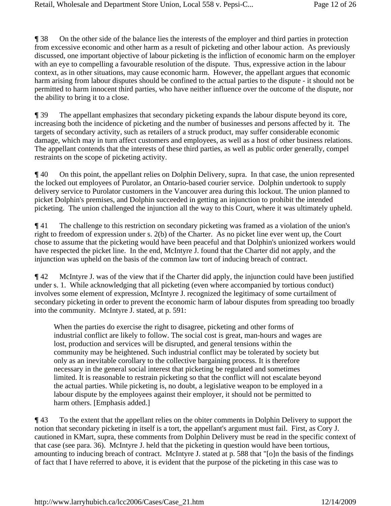**¶** 38 On the other side of the balance lies the interests of the employer and third parties in protection from excessive economic and other harm as a result of picketing and other labour action. As previously discussed, one important objective of labour picketing is the infliction of economic harm on the employer with an eye to compelling a favourable resolution of the dispute. Thus, expressive action in the labour context, as in other situations, may cause economic harm. However, the appellant argues that economic harm arising from labour disputes should be confined to the actual parties to the dispute - it should not be permitted to harm innocent third parties, who have neither influence over the outcome of the dispute, nor the ability to bring it to a close.

**¶** 39 The appellant emphasizes that secondary picketing expands the labour dispute beyond its core, increasing both the incidence of picketing and the number of businesses and persons affected by it. The targets of secondary activity, such as retailers of a struck product, may suffer considerable economic damage, which may in turn affect customers and employees, as well as a host of other business relations. The appellant contends that the interests of these third parties, as well as public order generally, compel restraints on the scope of picketing activity.

**¶** 40 On this point, the appellant relies on Dolphin Delivery, supra. In that case, the union represented the locked out employees of Purolator, an Ontario-based courier service. Dolphin undertook to supply delivery service to Purolator customers in the Vancouver area during this lockout. The union planned to picket Dolphin's premises, and Dolphin succeeded in getting an injunction to prohibit the intended picketing. The union challenged the injunction all the way to this Court, where it was ultimately upheld.

**¶** 41 The challenge to this restriction on secondary picketing was framed as a violation of the union's right to freedom of expression under s. 2(b) of the Charter. As no picket line ever went up, the Court chose to assume that the picketing would have been peaceful and that Dolphin's unionized workers would have respected the picket line. In the end, McIntyre J. found that the Charter did not apply, and the injunction was upheld on the basis of the common law tort of inducing breach of contract.

**¶** 42 McIntyre J. was of the view that if the Charter did apply, the injunction could have been justified under s. 1. While acknowledging that all picketing (even where accompanied by tortious conduct) involves some element of expression, McIntyre J. recognized the legitimacy of some curtailment of secondary picketing in order to prevent the economic harm of labour disputes from spreading too broadly into the community. McIntyre J. stated, at p. 591:

When the parties do exercise the right to disagree, picketing and other forms of industrial conflict are likely to follow. The social cost is great, man-hours and wages are lost, production and services will be disrupted, and general tensions within the community may be heightened. Such industrial conflict may be tolerated by society but only as an inevitable corollary to the collective bargaining process. It is therefore necessary in the general social interest that picketing be regulated and sometimes limited. It is reasonable to restrain picketing so that the conflict will not escalate beyond the actual parties. While picketing is, no doubt, a legislative weapon to be employed in a labour dispute by the employees against their employer, it should not be permitted to harm others. [Emphasis added.]

**¶** 43 To the extent that the appellant relies on the obiter comments in Dolphin Delivery to support the notion that secondary picketing in itself is a tort, the appellant's argument must fail. First, as Cory J. cautioned in KMart, supra, these comments from Dolphin Delivery must be read in the specific context of that case (see para. 36). McIntyre J. held that the picketing in question would have been tortious, amounting to inducing breach of contract. McIntyre J. stated at p. 588 that "[o]n the basis of the findings of fact that I have referred to above, it is evident that the purpose of the picketing in this case was to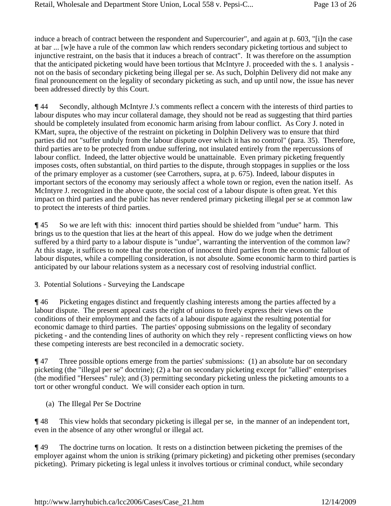induce a breach of contract between the respondent and Supercourier", and again at p. 603, "[i]n the case at bar ... [w]e have a rule of the common law which renders secondary picketing tortious and subject to injunctive restraint, on the basis that it induces a breach of contract". It was therefore on the assumption that the anticipated picketing would have been tortious that McIntyre J. proceeded with the s. 1 analysis not on the basis of secondary picketing being illegal per se. As such, Dolphin Delivery did not make any final pronouncement on the legality of secondary picketing as such, and up until now, the issue has never been addressed directly by this Court.

**¶** 44 Secondly, although McIntyre J.'s comments reflect a concern with the interests of third parties to labour disputes who may incur collateral damage, they should not be read as suggesting that third parties should be completely insulated from economic harm arising from labour conflict. As Cory J. noted in KMart, supra, the objective of the restraint on picketing in Dolphin Delivery was to ensure that third parties did not "suffer unduly from the labour dispute over which it has no control" (para. 35). Therefore, third parties are to be protected from undue suffering, not insulated entirely from the repercussions of labour conflict. Indeed, the latter objective would be unattainable. Even primary picketing frequently imposes costs, often substantial, on third parties to the dispute, through stoppages in supplies or the loss of the primary employer as a customer (see Carrothers, supra, at p. 675). Indeed, labour disputes in important sectors of the economy may seriously affect a whole town or region, even the nation itself. As McIntyre J. recognized in the above quote, the social cost of a labour dispute is often great. Yet this impact on third parties and the public has never rendered primary picketing illegal per se at common law to protect the interests of third parties.

**¶** 45 So we are left with this: innocent third parties should be shielded from "undue" harm. This brings us to the question that lies at the heart of this appeal. How do we judge when the detriment suffered by a third party to a labour dispute is "undue", warranting the intervention of the common law? At this stage, it suffices to note that the protection of innocent third parties from the economic fallout of labour disputes, while a compelling consideration, is not absolute. Some economic harm to third parties is anticipated by our labour relations system as a necessary cost of resolving industrial conflict.

3. Potential Solutions - Surveying the Landscape

**¶** 46 Picketing engages distinct and frequently clashing interests among the parties affected by a labour dispute. The present appeal casts the right of unions to freely express their views on the conditions of their employment and the facts of a labour dispute against the resulting potential for economic damage to third parties. The parties' opposing submissions on the legality of secondary picketing - and the contending lines of authority on which they rely - represent conflicting views on how these competing interests are best reconciled in a democratic society.

**¶** 47 Three possible options emerge from the parties' submissions: (1) an absolute bar on secondary picketing (the "illegal per se" doctrine); (2) a bar on secondary picketing except for "allied" enterprises (the modified "Hersees" rule); and (3) permitting secondary picketing unless the picketing amounts to a tort or other wrongful conduct. We will consider each option in turn.

(a) The Illegal Per Se Doctrine

**¶** 48 This view holds that secondary picketing is illegal per se, in the manner of an independent tort, even in the absence of any other wrongful or illegal act.

**¶** 49 The doctrine turns on location. It rests on a distinction between picketing the premises of the employer against whom the union is striking (primary picketing) and picketing other premises (secondary picketing). Primary picketing is legal unless it involves tortious or criminal conduct, while secondary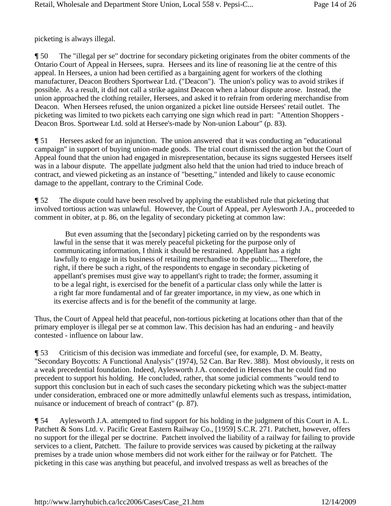picketing is always illegal.

**¶** 50 The "illegal per se" doctrine for secondary picketing originates from the obiter comments of the Ontario Court of Appeal in Hersees, supra. Hersees and its line of reasoning lie at the centre of this appeal. In Hersees, a union had been certified as a bargaining agent for workers of the clothing manufacturer, Deacon Brothers Sportwear Ltd. ("Deacon"). The union's policy was to avoid strikes if possible. As a result, it did not call a strike against Deacon when a labour dispute arose. Instead, the union approached the clothing retailer, Hersees, and asked it to refrain from ordering merchandise from Deacon. When Hersees refused, the union organized a picket line outside Hersees' retail outlet. The picketing was limited to two pickets each carrying one sign which read in part: "Attention Shoppers - Deacon Bros. Sportwear Ltd. sold at Hersee's-made by Non-union Labour" (p. 83).

**¶** 51 Hersees asked for an injunction. The union answered that it was conducting an "educational campaign" in support of buying union-made goods. The trial court dismissed the action but the Court of Appeal found that the union had engaged in misrepresentation, because its signs suggested Hersees itself was in a labour dispute. The appellate judgment also held that the union had tried to induce breach of contract, and viewed picketing as an instance of "besetting," intended and likely to cause economic damage to the appellant, contrary to the Criminal Code.

**¶** 52 The dispute could have been resolved by applying the established rule that picketing that involved tortious action was unlawful. However, the Court of Appeal, per Aylesworth J.A., proceeded to comment in obiter, at p. 86, on the legality of secondary picketing at common law:

 But even assuming that the [secondary] picketing carried on by the respondents was lawful in the sense that it was merely peaceful picketing for the purpose only of communicating information, I think it should be restrained. Appellant has a right lawfully to engage in its business of retailing merchandise to the public.... Therefore, the right, if there be such a right, of the respondents to engage in secondary picketing of appellant's premises must give way to appellant's right to trade; the former, assuming it to be a legal right, is exercised for the benefit of a particular class only while the latter is a right far more fundamental and of far greater importance, in my view, as one which in its exercise affects and is for the benefit of the community at large.

Thus, the Court of Appeal held that peaceful, non-tortious picketing at locations other than that of the primary employer is illegal per se at common law. This decision has had an enduring - and heavily contested - influence on labour law.

**¶** 53 Criticism of this decision was immediate and forceful (see, for example, D. M. Beatty, "Secondary Boycotts: A Functional Analysis" (1974), 52 Can. Bar Rev. 388). Most obviously, it rests on a weak precedential foundation. Indeed, Aylesworth J.A. conceded in Hersees that he could find no precedent to support his holding. He concluded, rather, that some judicial comments "would tend to support this conclusion but in each of such cases the secondary picketing which was the subject-matter under consideration, embraced one or more admittedly unlawful elements such as trespass, intimidation, nuisance or inducement of breach of contract" (p. 87).

**¶** 54 Aylesworth J.A. attempted to find support for his holding in the judgment of this Court in A. L. Patchett & Sons Ltd. v. Pacific Great Eastern Railway Co., [1959] S.C.R. 271. Patchett, however, offers no support for the illegal per se doctrine. Patchett involved the liability of a railway for failing to provide services to a client, Patchett. The failure to provide services was caused by picketing at the railway premises by a trade union whose members did not work either for the railway or for Patchett. The picketing in this case was anything but peaceful, and involved trespass as well as breaches of the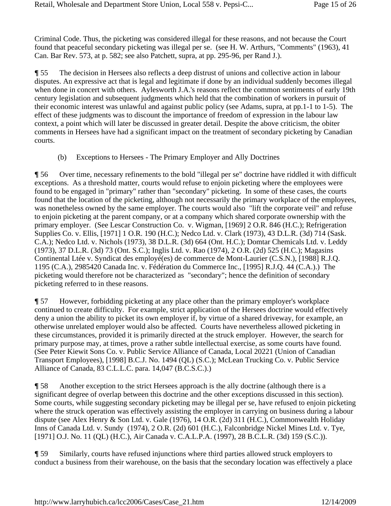Criminal Code. Thus, the picketing was considered illegal for these reasons, and not because the Court found that peaceful secondary picketing was illegal per se. (see H. W. Arthurs, "Comments" (1963), 41 Can. Bar Rev. 573, at p. 582; see also Patchett, supra, at pp. 295-96, per Rand J.).

**¶** 55 The decision in Hersees also reflects a deep distrust of unions and collective action in labour disputes. An expressive act that is legal and legitimate if done by an individual suddenly becomes illegal when done in concert with others. Aylesworth J.A.'s reasons reflect the common sentiments of early 19th century legislation and subsequent judgments which held that the combination of workers in pursuit of their economic interest was unlawful and against public policy (see Adams, supra, at pp.1-1 to 1-5). The effect of these judgments was to discount the importance of freedom of expression in the labour law context, a point which will later be discussed in greater detail. Despite the above criticism, the obiter comments in Hersees have had a significant impact on the treatment of secondary picketing by Canadian courts.

(b) Exceptions to Hersees - The Primary Employer and Ally Doctrines

**¶** 56 Over time, necessary refinements to the bold "illegal per se" doctrine have riddled it with difficult exceptions. As a threshold matter, courts would refuse to enjoin picketing where the employees were found to be engaged in "primary" rather than "secondary" picketing. In some of these cases, the courts found that the location of the picketing, although not necessarily the primary workplace of the employees, was nonetheless owned by the same employer. The courts would also "lift the corporate veil" and refuse to enjoin picketing at the parent company, or at a company which shared corporate ownership with the primary employer. (See Lescar Construction Co. v. Wigman, [1969] 2 O.R. 846 (H.C.); Refrigeration Supplies Co. v. Ellis, [1971] 1 O.R. 190 (H.C.); Nedco Ltd. v. Clark (1973), 43 D.L.R. (3d) 714 (Sask. C.A.); Nedco Ltd. v. Nichols (1973), 38 D.L.R. (3d) 664 (Ont. H.C.); Domtar Chemicals Ltd. v. Leddy (1973), 37 D.L.R. (3d) 73 (Ont. S.C.); Inglis Ltd. v. Rao (1974), 2 O.R. (2d) 525 (H.C.); Magasins Continental Ltée v. Syndicat des employé(es) de commerce de Mont-Laurier (C.S.N.), [1988] R.J.Q. 1195 (C.A.), 2985420 Canada Inc. v. Fédération du Commerce Inc., [1995] R.J.Q. 44 (C.A.).) The picketing would therefore not be characterized as "secondary"; hence the definition of secondary picketing referred to in these reasons.

**¶** 57 However, forbidding picketing at any place other than the primary employer's workplace continued to create difficulty. For example, strict application of the Hersees doctrine would effectively deny a union the ability to picket its own employer if, by virtue of a shared driveway, for example, an otherwise unrelated employer would also be affected. Courts have nevertheless allowed picketing in these circumstances, provided it is primarily directed at the struck employer. However, the search for primary purpose may, at times, prove a rather subtle intellectual exercise, as some courts have found. (See Peter Kiewit Sons Co. v. Public Service Alliance of Canada, Local 20221 (Union of Canadian Transport Employees), [1998] B.C.J. No. 1494 (QL) (S.C.); McLean Trucking Co. v. Public Service Alliance of Canada, 83 C.L.L.C. para. 14,047 (B.C.S.C.).)

**¶** 58 Another exception to the strict Hersees approach is the ally doctrine (although there is a significant degree of overlap between this doctrine and the other exceptions discussed in this section). Some courts, while suggesting secondary picketing may be illegal per se, have refused to enjoin picketing where the struck operation was effectively assisting the employer in carrying on business during a labour dispute (see Alex Henry & Son Ltd. v. Gale (1976), 14 O.R. (2d) 311 (H.C.), Commonwealth Holiday Inns of Canada Ltd. v. Sundy (1974), 2 O.R. (2d) 601 (H.C.), Falconbridge Nickel Mines Ltd. v. Tye, [1971] O.J. No. 11 (QL) (H.C.), Air Canada v. C.A.L.P.A. (1997), 28 B.C.L.R. (3d) 159 (S.C.)).

**¶** 59 Similarly, courts have refused injunctions where third parties allowed struck employers to conduct a business from their warehouse, on the basis that the secondary location was effectively a place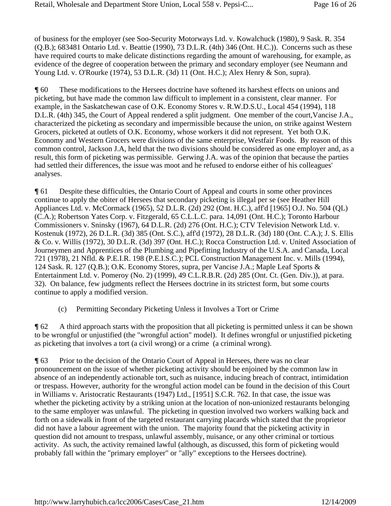of business for the employer (see Soo-Security Motorways Ltd. v. Kowalchuck (1980), 9 Sask. R. 354 (Q.B.); 683481 Ontario Ltd. v. Beattie (1990), 73 D.L.R. (4th) 346 (Ont. H.C.)). Concerns such as these have required courts to make delicate distinctions regarding the amount of warehousing, for example, as evidence of the degree of cooperation between the primary and secondary employer (see Neumann and Young Ltd. v. O'Rourke (1974), 53 D.L.R. (3d) 11 (Ont. H.C.); Alex Henry & Son, supra).

**¶** 60 These modifications to the Hersees doctrine have softened its harshest effects on unions and picketing, but have made the common law difficult to implement in a consistent, clear manner. For example, in the Saskatchewan case of O.K. Economy Stores v. R.W.D.S.U., Local 454 (1994), 118 D.L.R. (4th) 345, the Court of Appeal rendered a split judgment. One member of the court,Vancise J.A., characterized the picketing as secondary and impermissible because the union, on strike against Western Grocers, picketed at outlets of O.K. Economy, whose workers it did not represent. Yet both O.K. Economy and Western Grocers were divisions of the same enterprise, Westfair Foods. By reason of this common control, Jackson J.A, held that the two divisions should be considered as one employer and, as a result, this form of picketing was permissible. Gerwing J.A. was of the opinion that because the parties had settled their differences, the issue was moot and he refused to endorse either of his colleagues' analyses.

**¶** 61 Despite these difficulties, the Ontario Court of Appeal and courts in some other provinces continue to apply the obiter of Hersees that secondary picketing is illegal per se (see Heather Hill Appliances Ltd. v. McCormack (1965), 52 D.L.R. (2d) 292 (Ont. H.C.), aff'd [1965] O.J. No. 504 (QL) (C.A.); Robertson Yates Corp. v. Fitzgerald, 65 C.L.L.C. para. 14,091 (Ont. H.C.); Toronto Harbour Commissioners v. Sninsky (1967), 64 D.L.R. (2d) 276 (Ont. H.C.); CTV Television Network Ltd. v. Kostenuk (1972), 26 D.L.R. (3d) 385 (Ont. S.C.), aff'd (1972), 28 D.L.R. (3d) 180 (Ont. C.A.); J. S. Ellis & Co. v. Willis (1972), 30 D.L.R. (3d) 397 (Ont. H.C.); Rocca Construction Ltd. v. United Association of Journeymen and Apprentices of the Plumbing and Pipefitting Industry of the U.S.A. and Canada, Local 721 (1978), 21 Nfld. & P.E.I.R. 198 (P.E.I.S.C.); PCL Construction Management Inc. v. Mills (1994), 124 Sask. R. 127 (Q.B.); O.K. Economy Stores, supra, per Vancise J.A.; Maple Leaf Sports & Entertainment Ltd. v. Pomeroy (No. 2) (1999), 49 C.L.R.B.R. (2d) 285 (Ont. Ct. (Gen. Div.)), at para. 32). On balance, few judgments reflect the Hersees doctrine in its strictest form, but some courts continue to apply a modified version.

(c) Permitting Secondary Picketing Unless it Involves a Tort or Crime

**¶** 62 A third approach starts with the proposition that all picketing is permitted unless it can be shown to be wrongful or unjustified (the "wrongful action" model). It defines wrongful or unjustified picketing as picketing that involves a tort (a civil wrong) or a crime (a criminal wrong).

**¶** 63 Prior to the decision of the Ontario Court of Appeal in Hersees, there was no clear pronouncement on the issue of whether picketing activity should be enjoined by the common law in absence of an independently actionable tort, such as nuisance, inducing breach of contract, intimidation or trespass. However, authority for the wrongful action model can be found in the decision of this Court in Williams v. Aristocratic Restaurants (1947) Ltd., [1951] S.C.R. 762. In that case, the issue was whether the picketing activity by a striking union at the location of non-unionized restaurants belonging to the same employer was unlawful. The picketing in question involved two workers walking back and forth on a sidewalk in front of the targeted restaurant carrying placards which stated that the proprietor did not have a labour agreement with the union. The majority found that the picketing activity in question did not amount to trespass, unlawful assembly, nuisance, or any other criminal or tortious activity. As such, the activity remained lawful (although, as discussed, this form of picketing would probably fall within the "primary employer" or "ally" exceptions to the Hersees doctrine).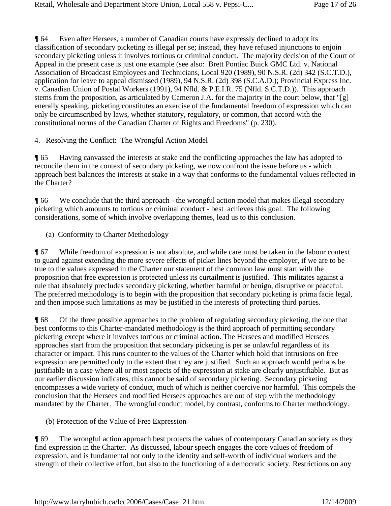**¶** 64 Even after Hersees, a number of Canadian courts have expressly declined to adopt its classification of secondary picketing as illegal per se; instead, they have refused injunctions to enjoin secondary picketing unless it involves tortious or criminal conduct. The majority decision of the Court of Appeal in the present case is just one example (see also: Brett Pontiac Buick GMC Ltd. v. National Association of Broadcast Employees and Technicians, Local 920 (1989), 90 N.S.R. (2d) 342 (S.C.T.D.), application for leave to appeal dismissed (1989), 94 N.S.R. (2d) 398 (S.C.A.D.); Provincial Express Inc. v. Canadian Union of Postal Workers (1991), 94 Nfld. & P.E.I.R. 75 (Nfld. S.C.T.D.)). This approach stems from the proposition, as articulated by Cameron J.A. for the majority in the court below, that "[g] enerally speaking, picketing constitutes an exercise of the fundamental freedom of expression which can only be circumscribed by laws, whether statutory, regulatory, or common, that accord with the constitutional norms of the Canadian Charter of Rights and Freedoms" (p. 230).

4. Resolving the Conflict: The Wrongful Action Model

**¶** 65 Having canvassed the interests at stake and the conflicting approaches the law has adopted to reconcile them in the context of secondary picketing, we now confront the issue before us - which approach best balances the interests at stake in a way that conforms to the fundamental values reflected in the Charter?

**¶** 66 We conclude that the third approach - the wrongful action model that makes illegal secondary picketing which amounts to tortious or criminal conduct - best achieves this goal. The following considerations, some of which involve overlapping themes, lead us to this conclusion.

(a) Conformity to Charter Methodology

**¶** 67 While freedom of expression is not absolute, and while care must be taken in the labour context to guard against extending the more severe effects of picket lines beyond the employer, if we are to be true to the values expressed in the Charter our statement of the common law must start with the proposition that free expression is protected unless its curtailment is justified. This militates against a rule that absolutely precludes secondary picketing, whether harmful or benign, disruptive or peaceful. The preferred methodology is to begin with the proposition that secondary picketing is prima facie legal, and then impose such limitations as may be justified in the interests of protecting third parties.

**¶** 68 Of the three possible approaches to the problem of regulating secondary picketing, the one that best conforms to this Charter-mandated methodology is the third approach of permitting secondary picketing except where it involves tortious or criminal action. The Hersees and modified Hersees approaches start from the proposition that secondary picketing is per se unlawful regardless of its character or impact. This runs counter to the values of the Charter which hold that intrusions on free expression are permitted only to the extent that they are justified. Such an approach would perhaps be justifiable in a case where all or most aspects of the expression at stake are clearly unjustifiable. But as our earlier discussion indicates, this cannot be said of secondary picketing. Secondary picketing encompasses a wide variety of conduct, much of which is neither coercive nor harmful. This compels the conclusion that the Hersees and modified Hersees approaches are out of step with the methodology mandated by the Charter. The wrongful conduct model, by contrast, conforms to Charter methodology.

(b) Protection of the Value of Free Expression

**¶** 69 The wrongful action approach best protects the values of contemporary Canadian society as they find expression in the Charter. As discussed, labour speech engages the core values of freedom of expression, and is fundamental not only to the identity and self-worth of individual workers and the strength of their collective effort, but also to the functioning of a democratic society. Restrictions on any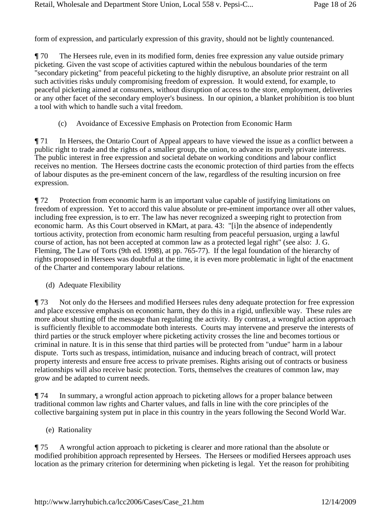form of expression, and particularly expression of this gravity, should not be lightly countenanced.

**¶** 70 The Hersees rule, even in its modified form, denies free expression any value outside primary picketing. Given the vast scope of activities captured within the nebulous boundaries of the term "secondary picketing" from peaceful picketing to the highly disruptive, an absolute prior restraint on all such activities risks unduly compromising freedom of expression. It would extend, for example, to peaceful picketing aimed at consumers, without disruption of access to the store, employment, deliveries or any other facet of the secondary employer's business. In our opinion, a blanket prohibition is too blunt a tool with which to handle such a vital freedom.

(c) Avoidance of Excessive Emphasis on Protection from Economic Harm

**¶** 71 In Hersees, the Ontario Court of Appeal appears to have viewed the issue as a conflict between a public right to trade and the rights of a smaller group, the union, to advance its purely private interests. The public interest in free expression and societal debate on working conditions and labour conflict receives no mention. The Hersees doctrine casts the economic protection of third parties from the effects of labour disputes as the pre-eminent concern of the law, regardless of the resulting incursion on free expression.

**¶** 72 Protection from economic harm is an important value capable of justifying limitations on freedom of expression. Yet to accord this value absolute or pre-eminent importance over all other values, including free expression, is to err. The law has never recognized a sweeping right to protection from economic harm. As this Court observed in KMart, at para. 43: "[i]n the absence of independently tortious activity, protection from economic harm resulting from peaceful persuasion, urging a lawful course of action, has not been accepted at common law as a protected legal right" (see also: J. G. Fleming, The Law of Torts (9th ed. 1998), at pp. 765-77). If the legal foundation of the hierarchy of rights proposed in Hersees was doubtful at the time, it is even more problematic in light of the enactment of the Charter and contemporary labour relations.

(d) Adequate Flexibility

**¶** 73 Not only do the Hersees and modified Hersees rules deny adequate protection for free expression and place excessive emphasis on economic harm, they do this in a rigid, unflexible way. These rules are more about shutting off the message than regulating the activity. By contrast, a wrongful action approach is sufficiently flexible to accommodate both interests. Courts may intervene and preserve the interests of third parties or the struck employer where picketing activity crosses the line and becomes tortious or criminal in nature. It is in this sense that third parties will be protected from "undue" harm in a labour dispute. Torts such as trespass, intimidation, nuisance and inducing breach of contract, will protect property interests and ensure free access to private premises. Rights arising out of contracts or business relationships will also receive basic protection. Torts, themselves the creatures of common law, may grow and be adapted to current needs.

**¶** 74 In summary, a wrongful action approach to picketing allows for a proper balance between traditional common law rights and Charter values, and falls in line with the core principles of the collective bargaining system put in place in this country in the years following the Second World War.

(e) Rationality

**¶** 75 A wrongful action approach to picketing is clearer and more rational than the absolute or modified prohibition approach represented by Hersees. The Hersees or modified Hersees approach uses location as the primary criterion for determining when picketing is legal. Yet the reason for prohibiting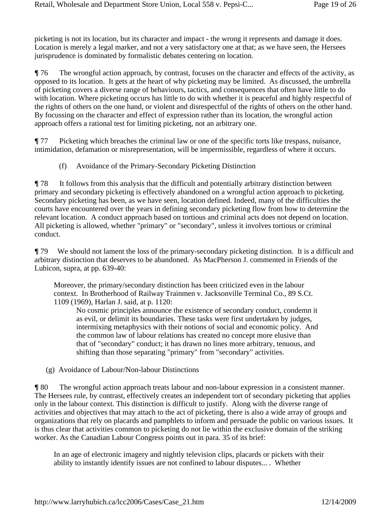picketing is not its location, but its character and impact - the wrong it represents and damage it does. Location is merely a legal marker, and not a very satisfactory one at that; as we have seen, the Hersees jurisprudence is dominated by formalistic debates centering on location.

**¶** 76 The wrongful action approach, by contrast, focuses on the character and effects of the activity, as opposed to its location. It gets at the heart of why picketing may be limited. As discussed, the umbrella of picketing covers a diverse range of behaviours, tactics, and consequences that often have little to do with location. Where picketing occurs has little to do with whether it is peaceful and highly respectful of the rights of others on the one hand, or violent and disrespectful of the rights of others on the other hand. By focussing on the character and effect of expression rather than its location, the wrongful action approach offers a rational test for limiting picketing, not an arbitrary one.

**¶** 77 Picketing which breaches the criminal law or one of the specific torts like trespass, nuisance, intimidation, defamation or misrepresentation, will be impermissible, regardless of where it occurs.

(f) Avoidance of the Primary-Secondary Picketing Distinction

**¶** 78 It follows from this analysis that the difficult and potentially arbitrary distinction between primary and secondary picketing is effectively abandoned on a wrongful action approach to picketing. Secondary picketing has been, as we have seen, location defined. Indeed, many of the difficulties the courts have encountered over the years in defining secondary picketing flow from how to determine the relevant location. A conduct approach based on tortious and criminal acts does not depend on location. All picketing is allowed, whether "primary" or "secondary", unless it involves tortious or criminal conduct.

**¶** 79 We should not lament the loss of the primary-secondary picketing distinction. It is a difficult and arbitrary distinction that deserves to be abandoned. As MacPherson J. commented in Friends of the Lubicon, supra, at pp. 639-40:

Moreover, the primary/secondary distinction has been criticized even in the labour context. In Brotherhood of Railway Trainmen v. Jacksonville Terminal Co., 89 S.Ct. 1109 (1969), Harlan J. said, at p. 1120:

No cosmic principles announce the existence of secondary conduct, condemn it as evil, or delimit its boundaries. These tasks were first undertaken by judges, intermixing metaphysics with their notions of social and economic policy. And the common law of labour relations has created no concept more elusive than that of "secondary" conduct; it has drawn no lines more arbitrary, tenuous, and shifting than those separating "primary" from "secondary" activities.

(g) Avoidance of Labour/Non-labour Distinctions

**¶** 80 The wrongful action approach treats labour and non-labour expression in a consistent manner. The Hersees rule, by contrast, effectively creates an independent tort of secondary picketing that applies only in the labour context. This distinction is difficult to justify. Along with the diverse range of activities and objectives that may attach to the act of picketing, there is also a wide array of groups and organizations that rely on placards and pamphlets to inform and persuade the public on various issues. It is thus clear that activities common to picketing do not lie within the exclusive domain of the striking worker. As the Canadian Labour Congress points out in para. 35 of its brief:

In an age of electronic imagery and nightly television clips, placards or pickets with their ability to instantly identify issues are not confined to labour disputes... . Whether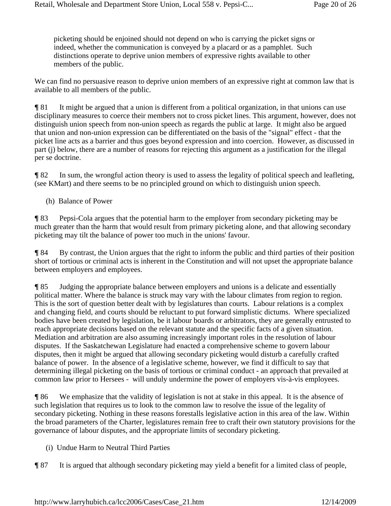picketing should be enjoined should not depend on who is carrying the picket signs or indeed, whether the communication is conveyed by a placard or as a pamphlet. Such distinctions operate to deprive union members of expressive rights available to other members of the public.

We can find no persuasive reason to deprive union members of an expressive right at common law that is available to all members of the public.

**¶** 81 It might be argued that a union is different from a political organization, in that unions can use disciplinary measures to coerce their members not to cross picket lines. This argument, however, does not distinguish union speech from non-union speech as regards the public at large. It might also be argued that union and non-union expression can be differentiated on the basis of the "signal" effect - that the picket line acts as a barrier and thus goes beyond expression and into coercion. However, as discussed in part (j) below, there are a number of reasons for rejecting this argument as a justification for the illegal per se doctrine.

**¶** 82 In sum, the wrongful action theory is used to assess the legality of political speech and leafleting, (see KMart) and there seems to be no principled ground on which to distinguish union speech.

(h) Balance of Power

**¶** 83 Pepsi-Cola argues that the potential harm to the employer from secondary picketing may be much greater than the harm that would result from primary picketing alone, and that allowing secondary picketing may tilt the balance of power too much in the unions' favour.

**¶** 84 By contrast, the Union argues that the right to inform the public and third parties of their position short of tortious or criminal acts is inherent in the Constitution and will not upset the appropriate balance between employers and employees.

**¶** 85 Judging the appropriate balance between employers and unions is a delicate and essentially political matter. Where the balance is struck may vary with the labour climates from region to region. This is the sort of question better dealt with by legislatures than courts. Labour relations is a complex and changing field, and courts should be reluctant to put forward simplistic dictums. Where specialized bodies have been created by legislation, be it labour boards or arbitrators, they are generally entrusted to reach appropriate decisions based on the relevant statute and the specific facts of a given situation. Mediation and arbitration are also assuming increasingly important roles in the resolution of labour disputes. If the Saskatchewan Legislature had enacted a comprehensive scheme to govern labour disputes, then it might be argued that allowing secondary picketing would disturb a carefully crafted balance of power. In the absence of a legislative scheme, however, we find it difficult to say that determining illegal picketing on the basis of tortious or criminal conduct - an approach that prevailed at common law prior to Hersees - will unduly undermine the power of employers vis-à-vis employees.

**¶** 86 We emphasize that the validity of legislation is not at stake in this appeal. It is the absence of such legislation that requires us to look to the common law to resolve the issue of the legality of secondary picketing. Nothing in these reasons forestalls legislative action in this area of the law. Within the broad parameters of the Charter, legislatures remain free to craft their own statutory provisions for the governance of labour disputes, and the appropriate limits of secondary picketing.

- (i) Undue Harm to Neutral Third Parties
- **¶** 87 It is argued that although secondary picketing may yield a benefit for a limited class of people,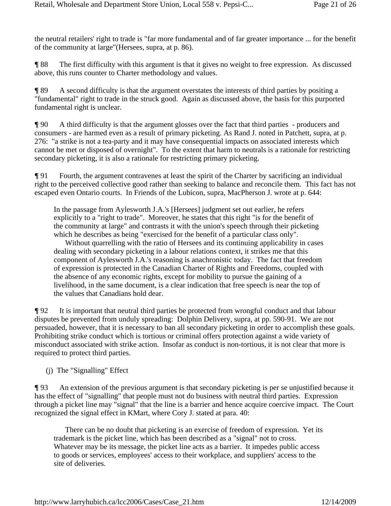the neutral retailers' right to trade is "far more fundamental and of far greater importance ... for the benefit of the community at large"(Hersees, supra, at p. 86).

**¶** 88 The first difficulty with this argument is that it gives no weight to free expression. As discussed above, this runs counter to Charter methodology and values.

**¶** 89 A second difficulty is that the argument overstates the interests of third parties by positing a "fundamental" right to trade in the struck good. Again as discussed above, the basis for this purported fundamental right is unclear.

**¶** 90 A third difficulty is that the argument glosses over the fact that third parties - producers and consumers - are harmed even as a result of primary picketing. As Rand J. noted in Patchett, supra, at p. 276: "a strike is not a tea-party and it may have consequential impacts on associated interests which cannot be met or disposed of overnight". To the extent that harm to neutrals is a rationale for restricting secondary picketing, it is also a rationale for restricting primary picketing.

**¶** 91 Fourth, the argument contravenes at least the spirit of the Charter by sacrificing an individual right to the perceived collective good rather than seeking to balance and reconcile them. This fact has not escaped even Ontario courts. In Friends of the Lubicon, supra, MacPherson J. wrote at p. 644:

In the passage from Aylesworth J.A.'s [Hersees] judgment set out earlier, he refers explicitly to a "right to trade". Moreover, he states that this right "is for the benefit of the community at large" and contrasts it with the union's speech through their picketing which he describes as being "exercised for the benefit of a particular class only".

 Without quarrelling with the ratio of Hersees and its continuing applicability in cases dealing with secondary picketing in a labour relations context, it strikes me that this component of Aylesworth J.A.'s reasoning is anachronistic today. The fact that freedom of expression is protected in the Canadian Charter of Rights and Freedoms, coupled with the absence of any economic rights, except for mobility to pursue the gaining of a livelihood, in the same document, is a clear indication that free speech is near the top of the values that Canadians hold dear.

**¶** 92 It is important that neutral third parties be protected from wrongful conduct and that labour disputes be prevented from unduly spreading: Dolphin Delivery, supra, at pp. 590-91. We are not persuaded, however, that it is necessary to ban all secondary picketing in order to accomplish these goals. Prohibiting strike conduct which is tortious or criminal offers protection against a wide variety of misconduct associated with strike action. Insofar as conduct is non-tortious, it is not clear that more is required to protect third parties.

(j) The "Signalling" Effect

**¶** 93 An extension of the previous argument is that secondary picketing is per se unjustified because it has the effect of "signalling" that people must not do business with neutral third parties. Expression through a picket line may "signal" that the line is a barrier and hence acquire coercive impact. The Court recognized the signal effect in KMart, where Cory J. stated at para. 40:

 There can be no doubt that picketing is an exercise of freedom of expression. Yet its trademark is the picket line, which has been described as a "signal" not to cross. Whatever may be its message, the picket line acts as a barrier. It impedes public access to goods or services, employees' access to their workplace, and suppliers' access to the site of deliveries.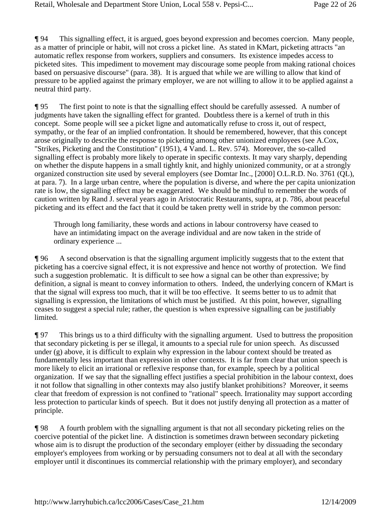**¶** 94 This signalling effect, it is argued, goes beyond expression and becomes coercion. Many people, as a matter of principle or habit, will not cross a picket line. As stated in KMart, picketing attracts "an automatic reflex response from workers, suppliers and consumers. Its existence impedes access to picketed sites. This impediment to movement may discourage some people from making rational choices based on persuasive discourse" (para. 38). It is argued that while we are willing to allow that kind of pressure to be applied against the primary employer, we are not willing to allow it to be applied against a neutral third party.

**¶** 95 The first point to note is that the signalling effect should be carefully assessed. A number of judgments have taken the signalling effect for granted. Doubtless there is a kernel of truth in this concept. Some people will see a picket ligne and automatically refuse to cross it, out of respect, sympathy, or the fear of an implied confrontation. It should be remembered, however, that this concept arose originally to describe the response to picketing among other unionized employees (see A.Cox, "Strikes, Picketing and the Constitution" (1951), 4 Vand. L. Rev. 574). Moreover, the so-called signalling effect is probably more likely to operate in specific contexts. It may vary sharply, depending on whether the dispute happens in a small tightly knit, and highly unionized community, or at a strongly organized construction site used by several employers (see Domtar Inc., [2000] O.L.R.D. No. 3761 (QL), at para. 7). In a large urban centre, where the population is diverse, and where the per capita unionization rate is low, the signalling effect may be exaggerated. We should be mindful to remember the words of caution written by Rand J. several years ago in Aristocratic Restaurants, supra, at p. 786, about peaceful picketing and its effect and the fact that it could be taken pretty well in stride by the common person:

Through long familiarity, these words and actions in labour controversy have ceased to have an intimidating impact on the average individual and are now taken in the stride of ordinary experience ...

**¶** 96 A second observation is that the signalling argument implicitly suggests that to the extent that picketing has a coercive signal effect, it is not expressive and hence not worthy of protection. We find such a suggestion problematic. It is difficult to see how a signal can be other than expressive; by definition, a signal is meant to convey information to others. Indeed, the underlying concern of KMart is that the signal will express too much, that it will be too effective. It seems better to us to admit that signalling is expression, the limitations of which must be justified. At this point, however, signalling ceases to suggest a special rule; rather, the question is when expressive signalling can be justifiably limited.

**¶** 97 This brings us to a third difficulty with the signalling argument. Used to buttress the proposition that secondary picketing is per se illegal, it amounts to a special rule for union speech. As discussed under (g) above, it is difficult to explain why expression in the labour context should be treated as fundamentally less important than expression in other contexts. It is far from clear that union speech is more likely to elicit an irrational or reflexive response than, for example, speech by a political organization. If we say that the signalling effect justifies a special prohibition in the labour context, does it not follow that signalling in other contexts may also justify blanket prohibitions? Moreover, it seems clear that freedom of expression is not confined to "rational" speech. Irrationality may support according less protection to particular kinds of speech. But it does not justify denying all protection as a matter of principle.

**¶** 98 A fourth problem with the signalling argument is that not all secondary picketing relies on the coercive potential of the picket line. A distinction is sometimes drawn between secondary picketing whose aim is to disrupt the production of the secondary employer (either by dissuading the secondary employer's employees from working or by persuading consumers not to deal at all with the secondary employer until it discontinues its commercial relationship with the primary employer), and secondary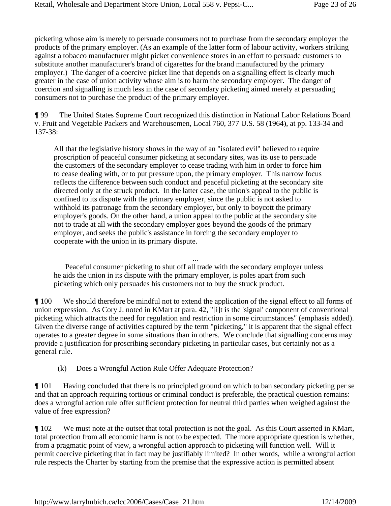picketing whose aim is merely to persuade consumers not to purchase from the secondary employer the products of the primary employer. (As an example of the latter form of labour activity, workers striking against a tobacco manufacturer might picket convenience stores in an effort to persuade customers to substitute another manufacturer's brand of cigarettes for the brand manufactured by the primary employer.) The danger of a coercive picket line that depends on a signalling effect is clearly much greater in the case of union activity whose aim is to harm the secondary employer. The danger of coercion and signalling is much less in the case of secondary picketing aimed merely at persuading consumers not to purchase the product of the primary employer.

**¶** 99 The United States Supreme Court recognized this distinction in National Labor Relations Board v. Fruit and Vegetable Packers and Warehousemen, Local 760, 377 U.S. 58 (1964), at pp. 133-34 and 137-38:

All that the legislative history shows in the way of an "isolated evil" believed to require proscription of peaceful consumer picketing at secondary sites, was its use to persuade the customers of the secondary employer to cease trading with him in order to force him to cease dealing with, or to put pressure upon, the primary employer. This narrow focus reflects the difference between such conduct and peaceful picketing at the secondary site directed only at the struck product. In the latter case, the union's appeal to the public is confined to its dispute with the primary employer, since the public is not asked to withhold its patronage from the secondary employer, but only to boycott the primary employer's goods. On the other hand, a union appeal to the public at the secondary site not to trade at all with the secondary employer goes beyond the goods of the primary employer, and seeks the public's assistance in forcing the secondary employer to cooperate with the union in its primary dispute.

... Peaceful consumer picketing to shut off all trade with the secondary employer unless he aids the union in its dispute with the primary employer, is poles apart from such picketing which only persuades his customers not to buy the struck product.

**¶** 100 We should therefore be mindful not to extend the application of the signal effect to all forms of union expression. As Cory J. noted in KMart at para. 42, "[i]t is the 'signal' component of conventional picketing which attracts the need for regulation and restriction in some circumstances" (emphasis added). Given the diverse range of activities captured by the term "picketing," it is apparent that the signal effect operates to a greater degree in some situations than in others. We conclude that signalling concerns may provide a justification for proscribing secondary picketing in particular cases, but certainly not as a general rule.

(k) Does a Wrongful Action Rule Offer Adequate Protection?

**¶** 101 Having concluded that there is no principled ground on which to ban secondary picketing per se and that an approach requiring tortious or criminal conduct is preferable, the practical question remains: does a wrongful action rule offer sufficient protection for neutral third parties when weighed against the value of free expression?

**¶** 102 We must note at the outset that total protection is not the goal. As this Court asserted in KMart, total protection from all economic harm is not to be expected. The more appropriate question is whether, from a pragmatic point of view, a wrongful action approach to picketing will function well. Will it permit coercive picketing that in fact may be justifiably limited? In other words, while a wrongful action rule respects the Charter by starting from the premise that the expressive action is permitted absent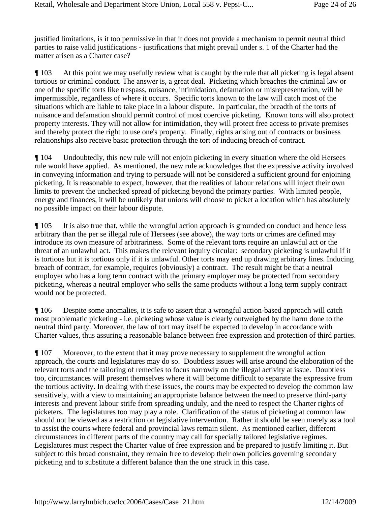justified limitations, is it too permissive in that it does not provide a mechanism to permit neutral third parties to raise valid justifications - justifications that might prevail under s. 1 of the Charter had the matter arisen as a Charter case?

**¶** 103 At this point we may usefully review what is caught by the rule that all picketing is legal absent tortious or criminal conduct. The answer is, a great deal. Picketing which breaches the criminal law or one of the specific torts like trespass, nuisance, intimidation, defamation or misrepresentation, will be impermissible, regardless of where it occurs. Specific torts known to the law will catch most of the situations which are liable to take place in a labour dispute. In particular, the breadth of the torts of nuisance and defamation should permit control of most coercive picketing. Known torts will also protect property interests. They will not allow for intimidation, they will protect free access to private premises and thereby protect the right to use one's property. Finally, rights arising out of contracts or business relationships also receive basic protection through the tort of inducing breach of contract.

**¶** 104 Undoubtedly, this new rule will not enjoin picketing in every situation where the old Hersees rule would have applied. As mentioned, the new rule acknowledges that the expressive activity involved in conveying information and trying to persuade will not be considered a sufficient ground for enjoining picketing. It is reasonable to expect, however, that the realities of labour relations will inject their own limits to prevent the unchecked spread of picketing beyond the primary parties. With limited people, energy and finances, it will be unlikely that unions will choose to picket a location which has absolutely no possible impact on their labour dispute.

**¶** 105 It is also true that, while the wrongful action approach is grounded on conduct and hence less arbitrary than the per se illegal rule of Hersees (see above), the way torts or crimes are defined may introduce its own measure of arbitrariness. Some of the relevant torts require an unlawful act or the threat of an unlawful act. This makes the relevant inquiry circular: secondary picketing is unlawful if it is tortious but it is tortious only if it is unlawful. Other torts may end up drawing arbitrary lines. Inducing breach of contract, for example, requires (obviously) a contract. The result might be that a neutral employer who has a long term contract with the primary employer may be protected from secondary picketing, whereas a neutral employer who sells the same products without a long term supply contract would not be protected.

**¶** 106 Despite some anomalies, it is safe to assert that a wrongful action-based approach will catch most problematic picketing - i.e. picketing whose value is clearly outweighed by the harm done to the neutral third party. Moreover, the law of tort may itself be expected to develop in accordance with Charter values, thus assuring a reasonable balance between free expression and protection of third parties.

**¶** 107 Moreover, to the extent that it may prove necessary to supplement the wrongful action approach, the courts and legislatures may do so. Doubtless issues will arise around the elaboration of the relevant torts and the tailoring of remedies to focus narrowly on the illegal activity at issue. Doubtless too, circumstances will present themselves where it will become difficult to separate the expressive from the tortious activity. In dealing with these issues, the courts may be expected to develop the common law sensitively, with a view to maintaining an appropriate balance between the need to preserve third-party interests and prevent labour strife from spreading unduly, and the need to respect the Charter rights of picketers. The legislatures too may play a role. Clarification of the status of picketing at common law should not be viewed as a restriction on legislative intervention. Rather it should be seen merely as a tool to assist the courts where federal and provincial laws remain silent. As mentioned earlier, different circumstances in different parts of the country may call for specially tailored legislative regimes. Legislatures must respect the Charter value of free expression and be prepared to justify limiting it. But subject to this broad constraint, they remain free to develop their own policies governing secondary picketing and to substitute a different balance than the one struck in this case.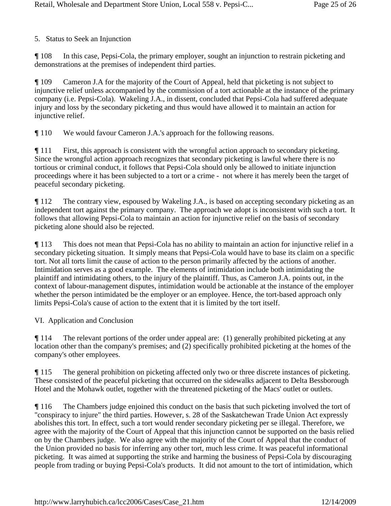5. Status to Seek an Injunction

**¶** 108 In this case, Pepsi-Cola, the primary employer, sought an injunction to restrain picketing and demonstrations at the premises of independent third parties.

**¶** 109 Cameron J.A for the majority of the Court of Appeal, held that picketing is not subject to injunctive relief unless accompanied by the commission of a tort actionable at the instance of the primary company (i.e. Pepsi-Cola). Wakeling J.A., in dissent, concluded that Pepsi-Cola had suffered adequate injury and loss by the secondary picketing and thus would have allowed it to maintain an action for injunctive relief.

**¶** 110 We would favour Cameron J.A.'s approach for the following reasons.

**¶** 111 First, this approach is consistent with the wrongful action approach to secondary picketing. Since the wrongful action approach recognizes that secondary picketing is lawful where there is no tortious or criminal conduct, it follows that Pepsi-Cola should only be allowed to initiate injunction proceedings where it has been subjected to a tort or a crime - not where it has merely been the target of peaceful secondary picketing.

**¶** 112 The contrary view, espoused by Wakeling J.A., is based on accepting secondary picketing as an independent tort against the primary company. The approach we adopt is inconsistent with such a tort. It follows that allowing Pepsi-Cola to maintain an action for injunctive relief on the basis of secondary picketing alone should also be rejected.

**¶** 113 This does not mean that Pepsi-Cola has no ability to maintain an action for injunctive relief in a secondary picketing situation. It simply means that Pepsi-Cola would have to base its claim on a specific tort. Not all torts limit the cause of action to the person primarily affected by the actions of another. Intimidation serves as a good example. The elements of intimidation include both intimidating the plaintiff and intimidating others, to the injury of the plaintiff. Thus, as Cameron J.A. points out, in the context of labour-management disputes, intimidation would be actionable at the instance of the employer whether the person intimidated be the employer or an employee. Hence, the tort-based approach only limits Pepsi-Cola's cause of action to the extent that it is limited by the tort itself.

VI. Application and Conclusion

**¶** 114 The relevant portions of the order under appeal are: (1) generally prohibited picketing at any location other than the company's premises; and (2) specifically prohibited picketing at the homes of the company's other employees.

**¶** 115 The general prohibition on picketing affected only two or three discrete instances of picketing. These consisted of the peaceful picketing that occurred on the sidewalks adjacent to Delta Bessborough Hotel and the Mohawk outlet, together with the threatened picketing of the Macs' outlet or outlets.

**¶** 116 The Chambers judge enjoined this conduct on the basis that such picketing involved the tort of "conspiracy to injure" the third parties. However, s. 28 of the Saskatchewan Trade Union Act expressly abolishes this tort. In effect, such a tort would render secondary picketing per se illegal. Therefore, we agree with the majority of the Court of Appeal that this injunction cannot be supported on the basis relied on by the Chambers judge. We also agree with the majority of the Court of Appeal that the conduct of the Union provided no basis for inferring any other tort, much less crime. It was peaceful informational picketing. It was aimed at supporting the strike and harming the business of Pepsi-Cola by discouraging people from trading or buying Pepsi-Cola's products. It did not amount to the tort of intimidation, which